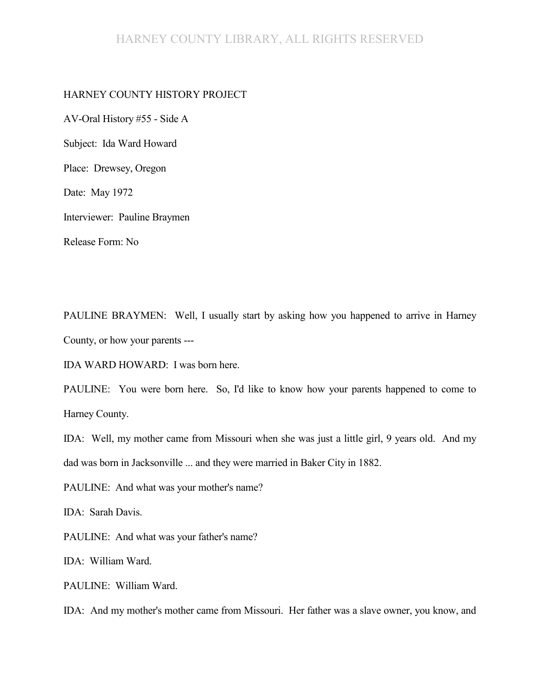#### HARNEY COUNTY LIBRARY, ALL RIGHTS RESERVED

#### HARNEY COUNTY HISTORY PROJECT

AV-Oral History #55 - Side A Subject: Ida Ward Howard Place: Drewsey, Oregon Date: May 1972 Interviewer: Pauline Braymen Release Form: No

PAULINE BRAYMEN: Well, I usually start by asking how you happened to arrive in Harney County, or how your parents ---

IDA WARD HOWARD: I was born here.

PAULINE: You were born here. So, I'd like to know how your parents happened to come to Harney County.

IDA: Well, my mother came from Missouri when she was just a little girl, 9 years old. And my dad was born in Jacksonville ... and they were married in Baker City in 1882.

PAULINE: And what was your mother's name?

IDA: Sarah Davis.

PAULINE: And what was your father's name?

IDA: William Ward.

PAULINE: William Ward.

IDA: And my mother's mother came from Missouri. Her father was a slave owner, you know, and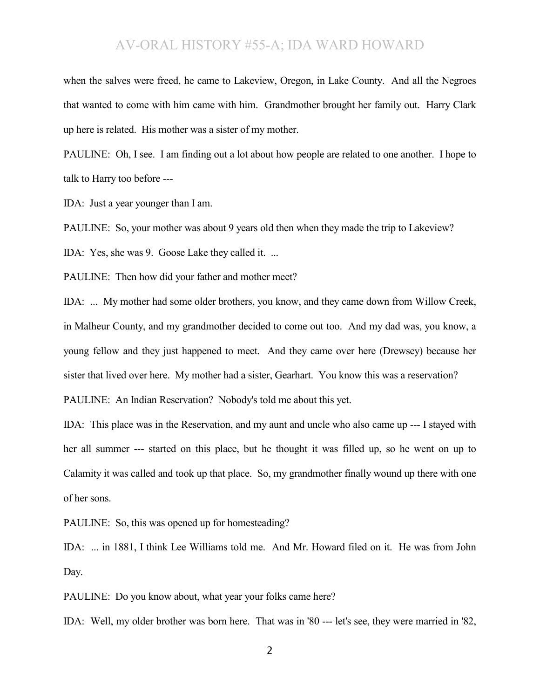when the salves were freed, he came to Lakeview, Oregon, in Lake County. And all the Negroes that wanted to come with him came with him. Grandmother brought her family out. Harry Clark up here is related. His mother was a sister of my mother.

PAULINE: Oh, I see. I am finding out a lot about how people are related to one another. I hope to talk to Harry too before ---

IDA: Just a year younger than I am.

PAULINE: So, your mother was about 9 years old then when they made the trip to Lakeview?

IDA: Yes, she was 9. Goose Lake they called it. ...

PAULINE: Then how did your father and mother meet?

IDA: ... My mother had some older brothers, you know, and they came down from Willow Creek, in Malheur County, and my grandmother decided to come out too. And my dad was, you know, a young fellow and they just happened to meet. And they came over here (Drewsey) because her sister that lived over here. My mother had a sister, Gearhart. You know this was a reservation?

PAULINE: An Indian Reservation? Nobody's told me about this yet.

IDA: This place was in the Reservation, and my aunt and uncle who also came up --- I stayed with her all summer --- started on this place, but he thought it was filled up, so he went on up to Calamity it was called and took up that place. So, my grandmother finally wound up there with one of her sons.

PAULINE: So, this was opened up for homesteading?

IDA: ... in 1881, I think Lee Williams told me. And Mr. Howard filed on it. He was from John Day.

PAULINE: Do you know about, what year your folks came here?

IDA: Well, my older brother was born here. That was in '80 --- let's see, they were married in '82,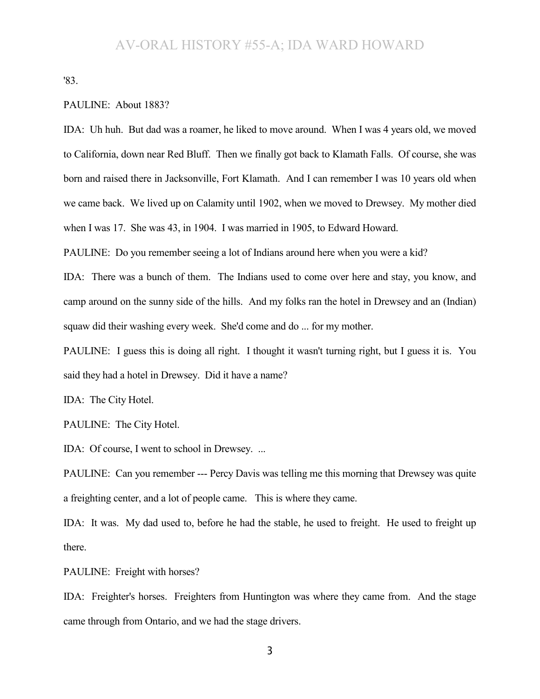'83.

#### PAULINE: About 1883?

IDA: Uh huh. But dad was a roamer, he liked to move around. When I was 4 years old, we moved to California, down near Red Bluff. Then we finally got back to Klamath Falls. Of course, she was born and raised there in Jacksonville, Fort Klamath. And I can remember I was 10 years old when we came back. We lived up on Calamity until 1902, when we moved to Drewsey. My mother died when I was 17. She was 43, in 1904. I was married in 1905, to Edward Howard.

PAULINE: Do you remember seeing a lot of Indians around here when you were a kid?

IDA: There was a bunch of them. The Indians used to come over here and stay, you know, and camp around on the sunny side of the hills. And my folks ran the hotel in Drewsey and an (Indian) squaw did their washing every week. She'd come and do ... for my mother.

PAULINE: I guess this is doing all right. I thought it wasn't turning right, but I guess it is. You said they had a hotel in Drewsey. Did it have a name?

IDA: The City Hotel.

PAULINE: The City Hotel.

IDA: Of course, I went to school in Drewsey. ...

PAULINE: Can you remember --- Percy Davis was telling me this morning that Drewsey was quite a freighting center, and a lot of people came. This is where they came.

IDA: It was. My dad used to, before he had the stable, he used to freight. He used to freight up there.

PAULINE: Freight with horses?

IDA: Freighter's horses. Freighters from Huntington was where they came from. And the stage came through from Ontario, and we had the stage drivers.

3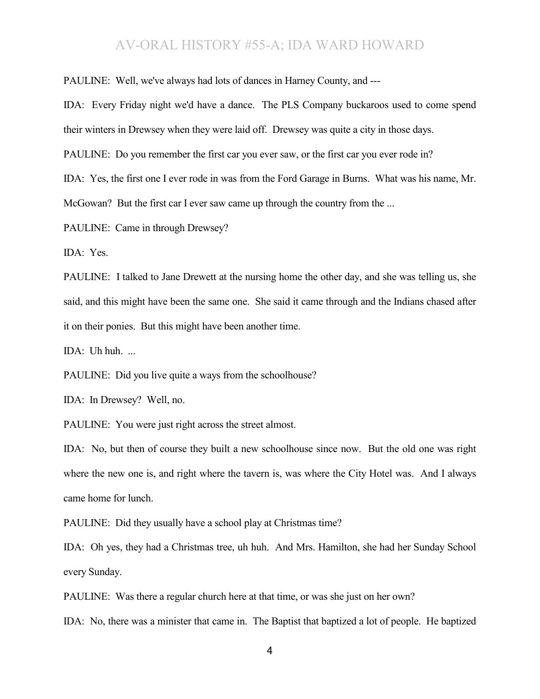PAULINE: Well, we've always had lots of dances in Harney County, and ---

IDA: Every Friday night we'd have a dance. The PLS Company buckaroos used to come spend their winters in Drewsey when they were laid off. Drewsey was quite a city in those days.

PAULINE: Do you remember the first car you ever saw, or the first car you ever rode in?

IDA: Yes, the first one I ever rode in was from the Ford Garage in Burns. What was his name, Mr. McGowan? But the first car I ever saw came up through the country from the ...

PAULINE: Came in through Drewsey?

IDA: Yes.

PAULINE: I talked to Jane Drewett at the nursing home the other day, and she was telling us, she said, and this might have been the same one. She said it came through and the Indians chased after it on their ponies. But this might have been another time.

IDA: Uh huh. ...

PAULINE: Did you live quite a ways from the schoolhouse?

IDA: In Drewsey? Well, no.

PAULINE: You were just right across the street almost.

IDA: No, but then of course they built a new schoolhouse since now. But the old one was right where the new one is, and right where the tavern is, was where the City Hotel was. And I always came home for lunch.

PAULINE: Did they usually have a school play at Christmas time?

IDA: Oh yes, they had a Christmas tree, uh huh. And Mrs. Hamilton, she had her Sunday School every Sunday.

PAULINE: Was there a regular church here at that time, or was she just on her own?

IDA: No, there was a minister that came in. The Baptist that baptized a lot of people. He baptized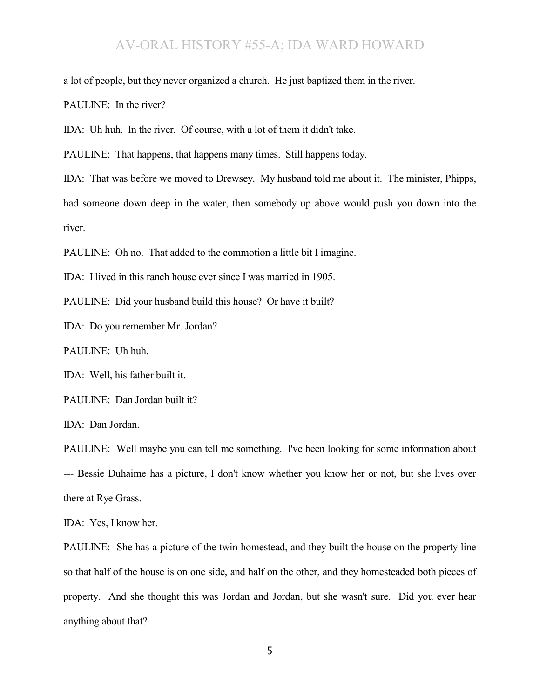a lot of people, but they never organized a church. He just baptized them in the river.

PAULINE: In the river?

IDA: Uh huh. In the river. Of course, with a lot of them it didn't take.

PAULINE: That happens, that happens many times. Still happens today.

IDA: That was before we moved to Drewsey. My husband told me about it. The minister, Phipps, had someone down deep in the water, then somebody up above would push you down into the river.

PAULINE: Oh no. That added to the commotion a little bit I imagine.

IDA: I lived in this ranch house ever since I was married in 1905.

PAULINE: Did your husband build this house? Or have it built?

IDA: Do you remember Mr. Jordan?

PAULINE: Uh huh.

IDA: Well, his father built it.

PAULINE: Dan Jordan built it?

IDA: Dan Jordan.

PAULINE: Well maybe you can tell me something. I've been looking for some information about --- Bessie Duhaime has a picture, I don't know whether you know her or not, but she lives over there at Rye Grass.

IDA: Yes, I know her.

PAULINE: She has a picture of the twin homestead, and they built the house on the property line so that half of the house is on one side, and half on the other, and they homesteaded both pieces of property. And she thought this was Jordan and Jordan, but she wasn't sure. Did you ever hear anything about that?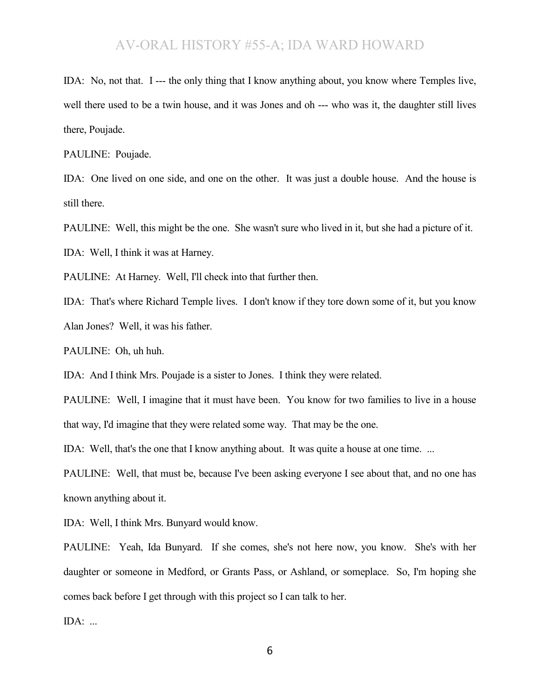IDA: No, not that. I --- the only thing that I know anything about, you know where Temples live, well there used to be a twin house, and it was Jones and oh --- who was it, the daughter still lives there, Poujade.

PAULINE: Poujade.

IDA: One lived on one side, and one on the other. It was just a double house. And the house is still there.

PAULINE: Well, this might be the one. She wasn't sure who lived in it, but she had a picture of it.

IDA: Well, I think it was at Harney.

PAULINE: At Harney. Well, I'll check into that further then.

IDA: That's where Richard Temple lives. I don't know if they tore down some of it, but you know Alan Jones? Well, it was his father.

PAULINE: Oh, uh huh.

IDA: And I think Mrs. Poujade is a sister to Jones. I think they were related.

PAULINE: Well, I imagine that it must have been. You know for two families to live in a house that way, I'd imagine that they were related some way. That may be the one.

IDA: Well, that's the one that I know anything about. It was quite a house at one time. ...

PAULINE: Well, that must be, because I've been asking everyone I see about that, and no one has known anything about it.

IDA: Well, I think Mrs. Bunyard would know.

PAULINE: Yeah, Ida Bunyard. If she comes, she's not here now, you know. She's with her daughter or someone in Medford, or Grants Pass, or Ashland, or someplace. So, I'm hoping she comes back before I get through with this project so I can talk to her.

IDA: ...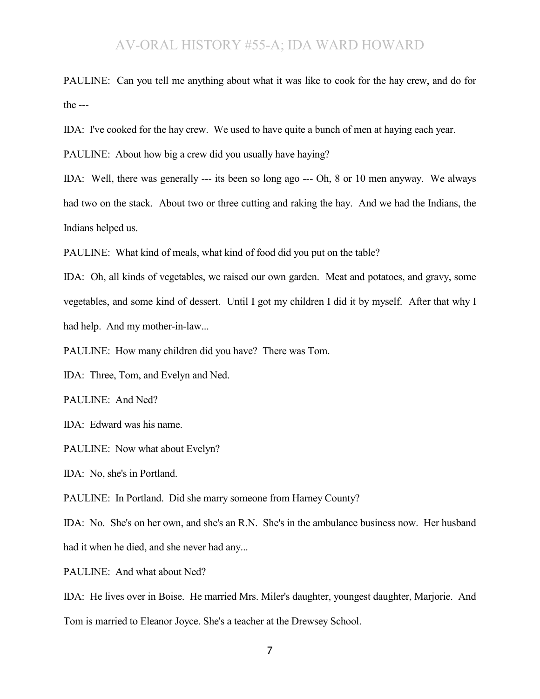PAULINE: Can you tell me anything about what it was like to cook for the hay crew, and do for the ---

IDA: I've cooked for the hay crew. We used to have quite a bunch of men at haying each year.

PAULINE: About how big a crew did you usually have haying?

IDA: Well, there was generally --- its been so long ago --- Oh, 8 or 10 men anyway. We always had two on the stack. About two or three cutting and raking the hay. And we had the Indians, the Indians helped us.

PAULINE: What kind of meals, what kind of food did you put on the table?

IDA: Oh, all kinds of vegetables, we raised our own garden. Meat and potatoes, and gravy, some vegetables, and some kind of dessert. Until I got my children I did it by myself. After that why I had help. And my mother-in-law...

PAULINE: How many children did you have? There was Tom.

IDA: Three, Tom, and Evelyn and Ned.

PAULINE: And Ned?

IDA: Edward was his name.

PAULINE: Now what about Evelyn?

IDA: No, she's in Portland.

PAULINE: In Portland. Did she marry someone from Harney County?

IDA: No. She's on her own, and she's an R.N. She's in the ambulance business now. Her husband had it when he died, and she never had any...

PAULINE: And what about Ned?

IDA: He lives over in Boise. He married Mrs. Miler's daughter, youngest daughter, Marjorie. And Tom is married to Eleanor Joyce. She's a teacher at the Drewsey School.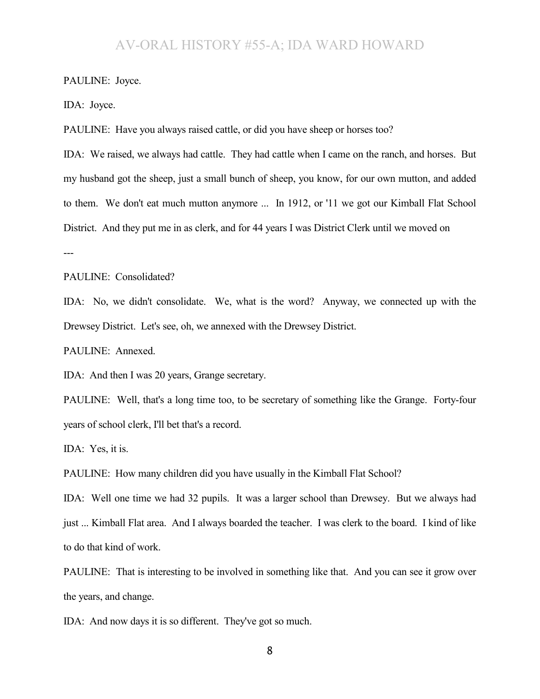PAULINE: Joyce.

IDA: Joyce.

PAULINE: Have you always raised cattle, or did you have sheep or horses too?

IDA: We raised, we always had cattle. They had cattle when I came on the ranch, and horses. But my husband got the sheep, just a small bunch of sheep, you know, for our own mutton, and added to them. We don't eat much mutton anymore ... In 1912, or '11 we got our Kimball Flat School District. And they put me in as clerk, and for 44 years I was District Clerk until we moved on ---

PAULINE: Consolidated?

IDA: No, we didn't consolidate. We, what is the word? Anyway, we connected up with the Drewsey District. Let's see, oh, we annexed with the Drewsey District.

PAULINE: Annexed.

IDA: And then I was 20 years, Grange secretary.

PAULINE: Well, that's a long time too, to be secretary of something like the Grange. Forty-four years of school clerk, I'll bet that's a record.

IDA: Yes, it is.

PAULINE: How many children did you have usually in the Kimball Flat School?

IDA: Well one time we had 32 pupils. It was a larger school than Drewsey. But we always had just ... Kimball Flat area. And I always boarded the teacher. I was clerk to the board. I kind of like to do that kind of work.

PAULINE: That is interesting to be involved in something like that. And you can see it grow over the years, and change.

IDA: And now days it is so different. They've got so much.

8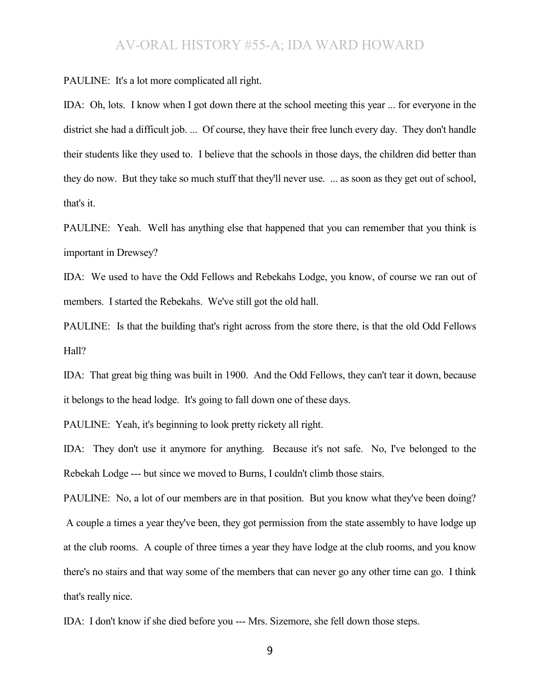PAULINE: It's a lot more complicated all right.

IDA: Oh, lots. I know when I got down there at the school meeting this year ... for everyone in the district she had a difficult job. ... Of course, they have their free lunch every day. They don't handle their students like they used to. I believe that the schools in those days, the children did better than they do now. But they take so much stuff that they'll never use. ... as soon as they get out of school, that's it.

PAULINE: Yeah. Well has anything else that happened that you can remember that you think is important in Drewsey?

IDA: We used to have the Odd Fellows and Rebekahs Lodge, you know, of course we ran out of members. I started the Rebekahs. We've still got the old hall.

PAULINE: Is that the building that's right across from the store there, is that the old Odd Fellows Hall?

IDA: That great big thing was built in 1900. And the Odd Fellows, they can't tear it down, because it belongs to the head lodge. It's going to fall down one of these days.

PAULINE: Yeah, it's beginning to look pretty rickety all right.

IDA: They don't use it anymore for anything. Because it's not safe. No, I've belonged to the Rebekah Lodge --- but since we moved to Burns, I couldn't climb those stairs.

PAULINE: No, a lot of our members are in that position. But you know what they've been doing? A couple a times a year they've been, they got permission from the state assembly to have lodge up at the club rooms. A couple of three times a year they have lodge at the club rooms, and you know there's no stairs and that way some of the members that can never go any other time can go. I think that's really nice.

IDA: I don't know if she died before you --- Mrs. Sizemore, she fell down those steps.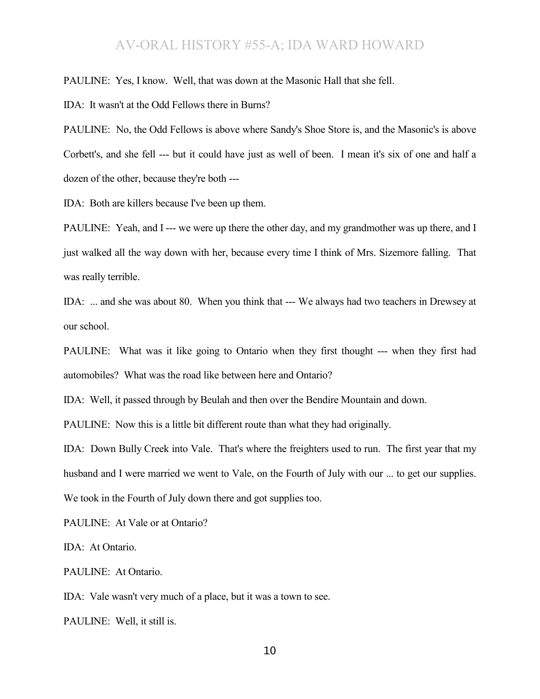PAULINE: Yes, I know. Well, that was down at the Masonic Hall that she fell.

IDA: It wasn't at the Odd Fellows there in Burns?

PAULINE: No, the Odd Fellows is above where Sandy's Shoe Store is, and the Masonic's is above Corbett's, and she fell --- but it could have just as well of been. I mean it's six of one and half a dozen of the other, because they're both ---

IDA: Both are killers because I've been up them.

PAULINE: Yeah, and I --- we were up there the other day, and my grandmother was up there, and I just walked all the way down with her, because every time I think of Mrs. Sizemore falling. That was really terrible.

IDA: ... and she was about 80. When you think that --- We always had two teachers in Drewsey at our school.

PAULINE: What was it like going to Ontario when they first thought --- when they first had automobiles? What was the road like between here and Ontario?

IDA: Well, it passed through by Beulah and then over the Bendire Mountain and down.

PAULINE: Now this is a little bit different route than what they had originally.

IDA: Down Bully Creek into Vale. That's where the freighters used to run. The first year that my husband and I were married we went to Vale, on the Fourth of July with our ... to get our supplies. We took in the Fourth of July down there and got supplies too.

PAULINE: At Vale or at Ontario?

IDA: At Ontario.

PAULINE: At Ontario.

IDA: Vale wasn't very much of a place, but it was a town to see.

PAULINE: Well, it still is.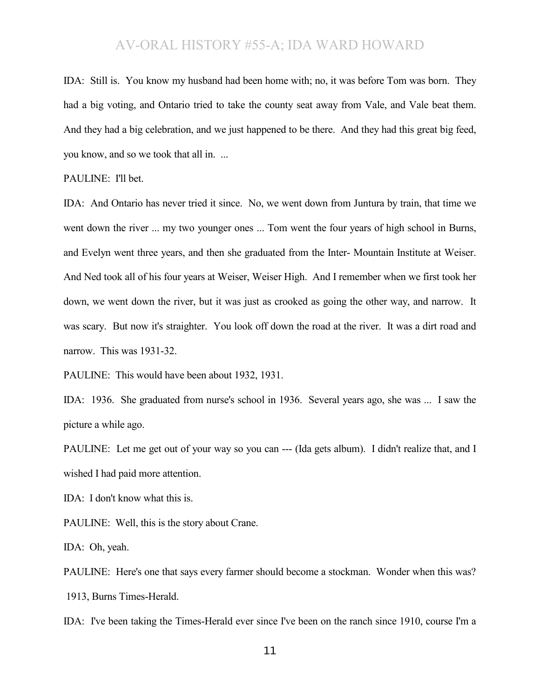IDA: Still is. You know my husband had been home with; no, it was before Tom was born. They had a big voting, and Ontario tried to take the county seat away from Vale, and Vale beat them. And they had a big celebration, and we just happened to be there. And they had this great big feed, you know, and so we took that all in. ...

PAULINE: I'll bet.

IDA: And Ontario has never tried it since. No, we went down from Juntura by train, that time we went down the river ... my two younger ones ... Tom went the four years of high school in Burns, and Evelyn went three years, and then she graduated from the Inter- Mountain Institute at Weiser. And Ned took all of his four years at Weiser, Weiser High. And I remember when we first took her down, we went down the river, but it was just as crooked as going the other way, and narrow. It was scary. But now it's straighter. You look off down the road at the river. It was a dirt road and narrow. This was 1931-32.

PAULINE: This would have been about 1932, 1931.

IDA: 1936. She graduated from nurse's school in 1936. Several years ago, she was ... I saw the picture a while ago.

PAULINE: Let me get out of your way so you can --- (Ida gets album). I didn't realize that, and I wished I had paid more attention.

IDA: I don't know what this is.

PAULINE: Well, this is the story about Crane.

IDA: Oh, yeah.

PAULINE: Here's one that says every farmer should become a stockman. Wonder when this was? 1913, Burns Times-Herald.

IDA: I've been taking the Times-Herald ever since I've been on the ranch since 1910, course I'm a

11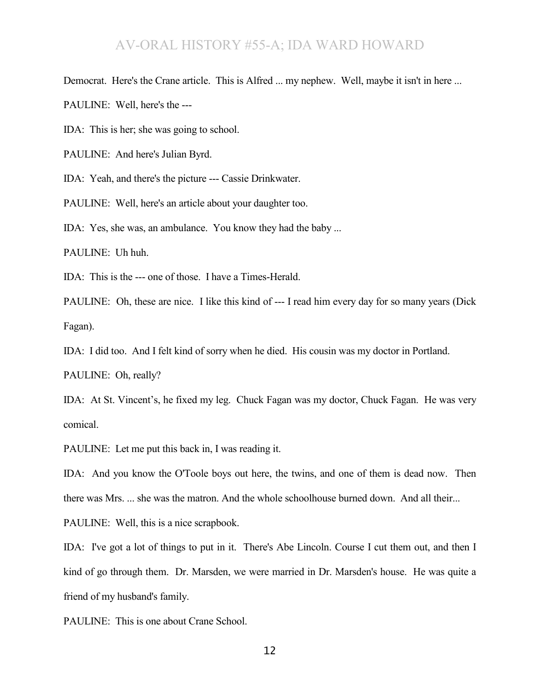Democrat. Here's the Crane article. This is Alfred ... my nephew. Well, maybe it isn't in here ...

PAULINE: Well, here's the ---

IDA: This is her; she was going to school.

PAULINE: And here's Julian Byrd.

IDA: Yeah, and there's the picture --- Cassie Drinkwater.

PAULINE: Well, here's an article about your daughter too.

IDA: Yes, she was, an ambulance. You know they had the baby ...

PAULINE: Uh huh.

IDA: This is the --- one of those. I have a Times-Herald.

PAULINE: Oh, these are nice. I like this kind of --- I read him every day for so many years (Dick Fagan).

IDA: I did too. And I felt kind of sorry when he died. His cousin was my doctor in Portland.

PAULINE: Oh, really?

IDA: At St. Vincent's, he fixed my leg. Chuck Fagan was my doctor, Chuck Fagan. He was very comical.

PAULINE: Let me put this back in, I was reading it.

IDA: And you know the O'Toole boys out here, the twins, and one of them is dead now. Then there was Mrs. ... she was the matron. And the whole schoolhouse burned down. And all their...

PAULINE: Well, this is a nice scrapbook.

IDA: I've got a lot of things to put in it. There's Abe Lincoln. Course I cut them out, and then I kind of go through them. Dr. Marsden, we were married in Dr. Marsden's house. He was quite a friend of my husband's family.

PAULINE: This is one about Crane School.